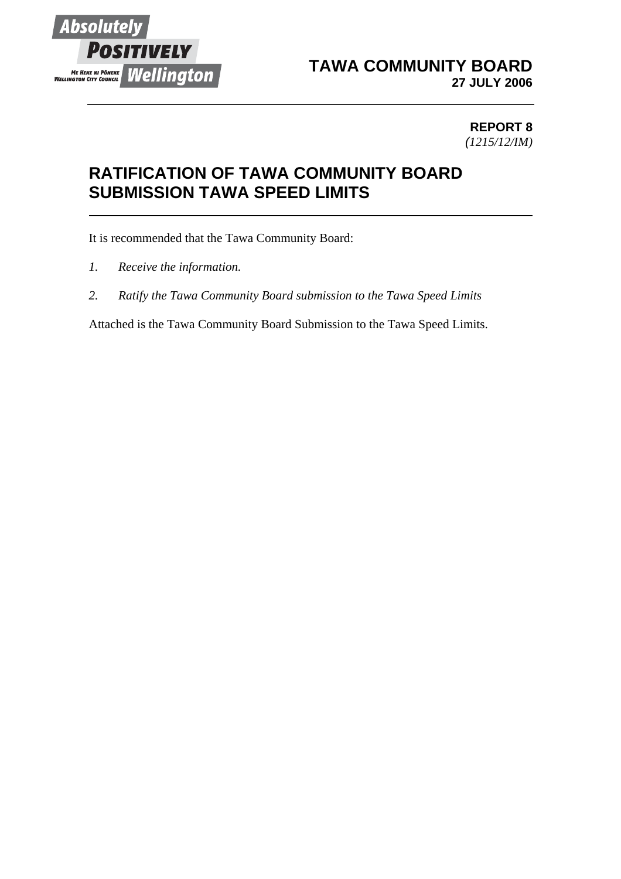

## **TAWA COMMUNITY BOARD 27 JULY 2006**

## **REPORT 8** *(1215/12/IM)*

## **RATIFICATION OF TAWA COMMUNITY BOARD SUBMISSION TAWA SPEED LIMITS**

It is recommended that the Tawa Community Board:

- *1. Receive the information.*
- *2. Ratify the Tawa Community Board submission to the Tawa Speed Limits*

Attached is the Tawa Community Board Submission to the Tawa Speed Limits.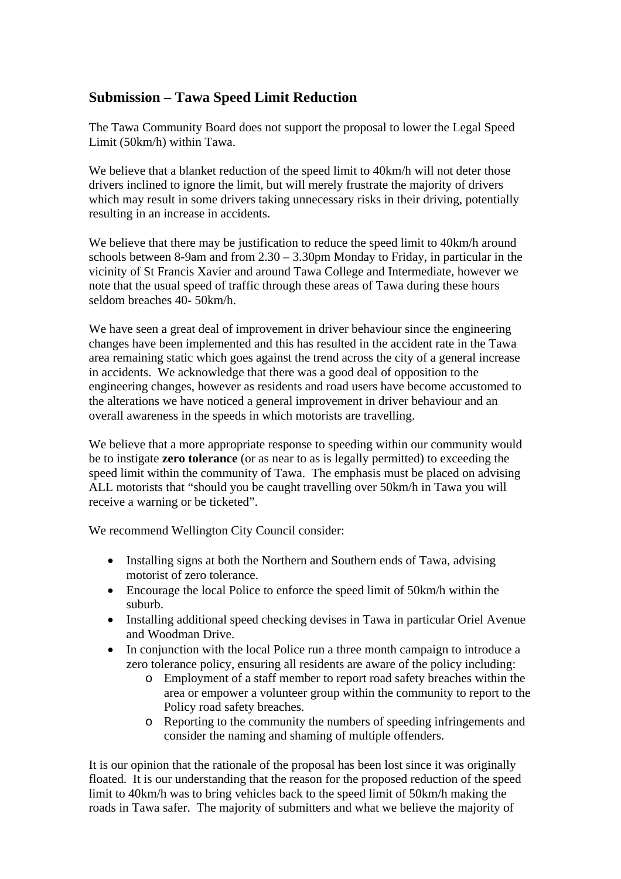## **Submission – Tawa Speed Limit Reduction**

The Tawa Community Board does not support the proposal to lower the Legal Speed Limit (50km/h) within Tawa.

We believe that a blanket reduction of the speed limit to 40km/h will not deter those drivers inclined to ignore the limit, but will merely frustrate the majority of drivers which may result in some drivers taking unnecessary risks in their driving, potentially resulting in an increase in accidents.

We believe that there may be justification to reduce the speed limit to 40km/h around schools between 8-9am and from 2.30 – 3.30pm Monday to Friday, in particular in the vicinity of St Francis Xavier and around Tawa College and Intermediate, however we note that the usual speed of traffic through these areas of Tawa during these hours seldom breaches 40- 50km/h.

We have seen a great deal of improvement in driver behaviour since the engineering changes have been implemented and this has resulted in the accident rate in the Tawa area remaining static which goes against the trend across the city of a general increase in accidents. We acknowledge that there was a good deal of opposition to the engineering changes, however as residents and road users have become accustomed to the alterations we have noticed a general improvement in driver behaviour and an overall awareness in the speeds in which motorists are travelling.

We believe that a more appropriate response to speeding within our community would be to instigate **zero tolerance** (or as near to as is legally permitted) to exceeding the speed limit within the community of Tawa. The emphasis must be placed on advising ALL motorists that "should you be caught travelling over 50km/h in Tawa you will receive a warning or be ticketed".

We recommend Wellington City Council consider:

- Installing signs at both the Northern and Southern ends of Tawa, advising motorist of zero tolerance.
- Encourage the local Police to enforce the speed limit of 50 km/h within the suburb.
- Installing additional speed checking devises in Tawa in particular Oriel Avenue and Woodman Drive.
- In conjunction with the local Police run a three month campaign to introduce a zero tolerance policy, ensuring all residents are aware of the policy including:
	- o Employment of a staff member to report road safety breaches within the area or empower a volunteer group within the community to report to the Policy road safety breaches.
	- o Reporting to the community the numbers of speeding infringements and consider the naming and shaming of multiple offenders.

It is our opinion that the rationale of the proposal has been lost since it was originally floated. It is our understanding that the reason for the proposed reduction of the speed limit to 40km/h was to bring vehicles back to the speed limit of 50km/h making the roads in Tawa safer. The majority of submitters and what we believe the majority of